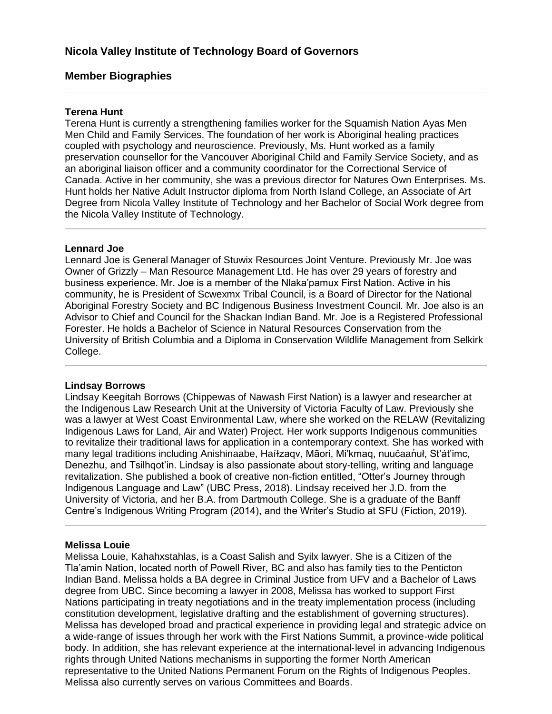# **Member Biographies**

#### **Terena Hunt**

Terena Hunt is currently a strengthening families worker for the Squamish Nation Ayas Men Men Child and Family Services. The foundation of her work is Aboriginal healing practices coupled with psychology and neuroscience. Previously, Ms. Hunt worked as a family preservation counsellor for the Vancouver Aboriginal Child and Family Service Society, and as an aboriginal liaison officer and a community coordinator for the Correctional Service of Canada. Active in her community, she was a previous director for Natures Own Enterprises. Ms. Hunt holds her Native Adult Instructor diploma from North Island College, an Associate of Art Degree from Nicola Valley Institute of Technology and her Bachelor of Social Work degree from the Nicola Valley Institute of Technology.

#### **Lennard Joe**

Lennard Joe is General Manager of Stuwix Resources Joint Venture. Previously Mr. Joe was Owner of Grizzly – Man Resource Management Ltd. He has over 29 years of forestry and business experience. Mr. Joe is a member of the Nlaka'pamux First Nation. Active in his community, he is President of Scwexmx Tribal Council, is a Board of Director for the National Aboriginal Forestry Society and BC Indigenous Business Investment Council. Mr. Joe also is an Advisor to Chief and Council for the Shackan Indian Band. Mr. Joe is a Registered Professional Forester. He holds a Bachelor of Science in Natural Resources Conservation from the University of British Columbia and a Diploma in Conservation Wildlife Management from Selkirk College.

#### **Lindsay Borrows**

Lindsay Keegitah Borrows (Chippewas of Nawash First Nation) is a lawyer and researcher at the Indigenous Law Research Unit at the University of Victoria Faculty of Law. Previously she was a lawyer at West Coast Environmental Law, where she worked on the RELAW (Revitalizing Indigenous Laws for Land, Air and Water) Project. Her work supports Indigenous communities to revitalize their traditional laws for application in a contemporary context. She has worked with many legal traditions including Anishinaabe, Haíłzagy, Māori, Mi'kmag, nuučaan'uł, St'át'imc, Denezhu, and Tsilhqot'in. Lindsay is also passionate about story-telling, writing and language revitalization. She published a book of creative non-fiction entitled, "Otter's Journey through Indigenous Language and Law" (UBC Press, 2018). Lindsay received her J.D. from the University of Victoria, and her B.A. from Dartmouth College. She is a graduate of the Banff Centre's Indigenous Writing Program (2014), and the Writer's Studio at SFU (Fiction, 2019).

#### **Melissa Louie**

Melissa Louie, Kahahxstahlas, is a Coast Salish and Syilx lawyer. She is a Citizen of the Tla'amin Nation, located north of Powell River, BC and also has family ties to the Penticton Indian Band. Melissa holds a BA degree in Criminal Justice from UFV and a Bachelor of Laws degree from UBC. Since becoming a lawyer in 2008, Melissa has worked to support First Nations participating in treaty negotiations and in the treaty implementation process (including constitution development, legislative drafting and the establishment of governing structures). Melissa has developed broad and practical experience in providing legal and strategic advice on a wide-range of issues through her work with the First Nations Summit, a province-wide political body. In addition, she has relevant experience at the international-level in advancing Indigenous rights through United Nations mechanisms in supporting the former North American representative to the United Nations Permanent Forum on the Rights of Indigenous Peoples. Melissa also currently serves on various Committees and Boards.